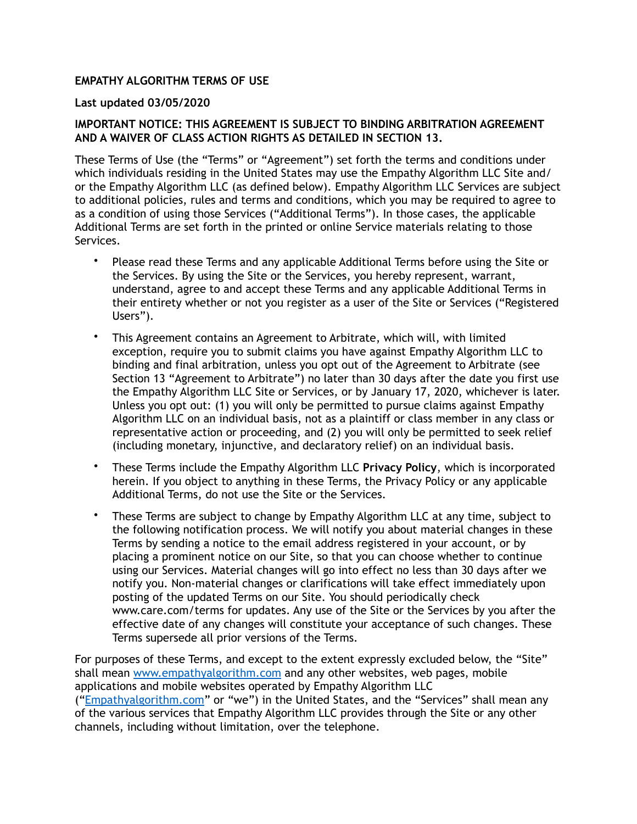#### **EMPATHY ALGORITHM TERMS OF USE**

#### **Last updated 03/05/2020**

#### **IMPORTANT NOTICE: THIS AGREEMENT IS SUBJECT TO BINDING ARBITRATION AGREEMENT AND A WAIVER OF CLASS ACTION RIGHTS AS DETAILED IN SECTION 13.**

These Terms of Use (the "Terms" or "Agreement") set forth the terms and conditions under which individuals residing in the United States may use the Empathy Algorithm LLC Site and/ or the Empathy Algorithm LLC (as defined below). Empathy Algorithm LLC Services are subject to additional policies, rules and terms and conditions, which you may be required to agree to as a condition of using those Services ("Additional Terms"). In those cases, the applicable Additional Terms are set forth in the printed or online Service materials relating to those Services.

- Please read these Terms and any applicable Additional Terms before using the Site or the Services. By using the Site or the Services, you hereby represent, warrant, understand, agree to and accept these Terms and any applicable Additional Terms in their entirety whether or not you register as a user of the Site or Services ("Registered Users").
- This Agreement contains an Agreement to Arbitrate, which will, with limited exception, require you to submit claims you have against Empathy Algorithm LLC to binding and final arbitration, unless you opt out of the Agreement to Arbitrate (see Section 13 "Agreement to Arbitrate") no later than 30 days after the date you first use the Empathy Algorithm LLC Site or Services, or by January 17, 2020, whichever is later. Unless you opt out: (1) you will only be permitted to pursue claims against Empathy Algorithm LLC on an individual basis, not as a plaintiff or class member in any class or representative action or proceeding, and (2) you will only be permitted to seek relief (including monetary, injunctive, and declaratory relief) on an individual basis.
- These Terms include the Empathy Algorithm LLC **Privacy Policy**, which is incorporated herein. If you object to anything in these Terms, the Privacy Policy or any applicable Additional Terms, do not use the Site or the Services.
- These Terms are subject to change by Empathy Algorithm LLC at any time, subject to the following notification process. We will notify you about material changes in these Terms by sending a notice to the email address registered in your account, or by placing a prominent notice on our Site, so that you can choose whether to continue using our Services. Material changes will go into effect no less than 30 days after we notify you. Non-material changes or clarifications will take effect immediately upon posting of the updated Terms on our Site. You should periodically check www.care.com/terms for updates. Any use of the Site or the Services by you after the effective date of any changes will constitute your acceptance of such changes. These Terms supersede all prior versions of the Terms.

For purposes of these Terms, and except to the extent expressly excluded below, the "Site" shall mean [www.empathyalgorithm.com](http://www.empathyalgorithm.com) and any other websites, web pages, mobile applications and mobile websites operated by Empathy Algorithm LLC ("[Empathyalgorithm.com](http://Empathyalgorithm.com)" or "we") in the United States, and the "Services" shall mean any of the various services that Empathy Algorithm LLC provides through the Site or any other channels, including without limitation, over the telephone.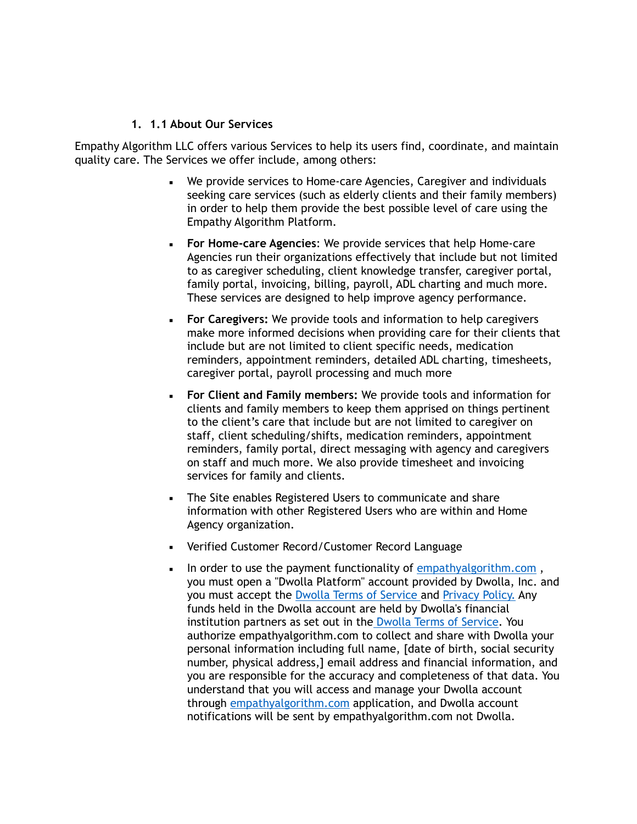#### **1. 1.1 About Our Services**

Empathy Algorithm LLC offers various Services to help its users find, coordinate, and maintain quality care. The Services we offer include, among others:

- We provide services to Home-care Agencies, Caregiver and individuals seeking care services (such as elderly clients and their family members) in order to help them provide the best possible level of care using the Empathy Algorithm Platform.
- **For Home-care Agencies**: We provide services that help Home-care Agencies run their organizations effectively that include but not limited to as caregiver scheduling, client knowledge transfer, caregiver portal, family portal, invoicing, billing, payroll, ADL charting and much more. These services are designed to help improve agency performance.
- **For Caregivers:** We provide tools and information to help caregivers make more informed decisions when providing care for their clients that include but are not limited to client specific needs, medication reminders, appointment reminders, detailed ADL charting, timesheets, caregiver portal, payroll processing and much more
- **For Client and Family members:** We provide tools and information for clients and family members to keep them apprised on things pertinent to the client's care that include but are not limited to caregiver on staff, client scheduling/shifts, medication reminders, appointment reminders, family portal, direct messaging with agency and caregivers on staff and much more. We also provide timesheet and invoicing services for family and clients.
- **The Site enables Registered Users to communicate and share** information with other Registered Users who are within and Home Agency organization.
- Verified Customer Record/Customer Record Language
- In order to use the payment functionality of empathyalgorithm.com, you must open a "Dwolla Platform" account provided by Dwolla, Inc. and you must accept the [Dwolla Terms of Service a](https://www.dwolla.com/legal/tos)nd [Privacy Policy.](https://www.dwolla.com/legal/privacy) Any funds held in the Dwolla account are held by Dwolla's financial institution partners as set out in the [Dwolla Terms of Service](https://www.dwolla.com/legal/tos). You authorize empathyalgorithm.com to collect and share with Dwolla your personal information including full name, [date of birth, social security number, physical address,] email address and financial information, and you are responsible for the accuracy and completeness of that data. You understand that you will access and manage your Dwolla account through [empathyalgorithm.com](http://empathyalgorithm.com) application, and Dwolla account notifications will be sent by empathyalgorithm.com not Dwolla.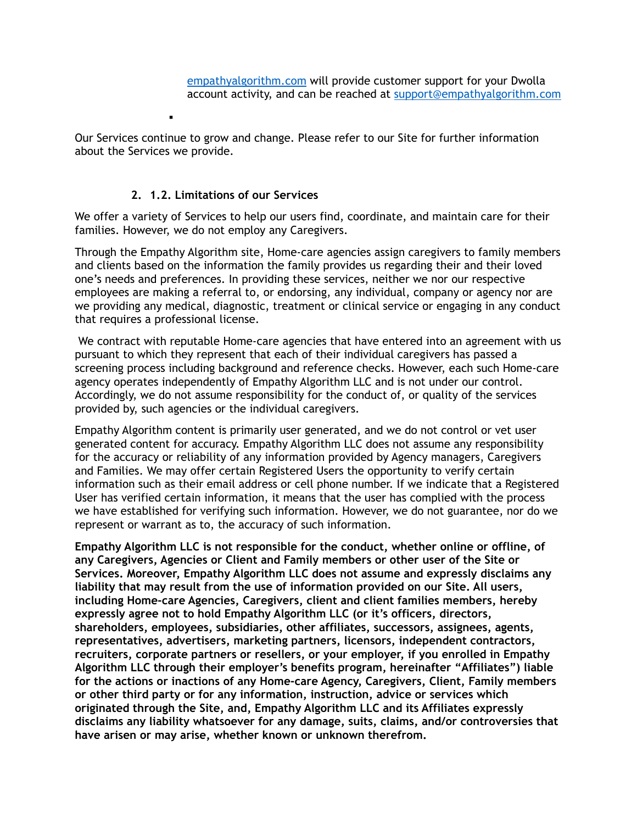Our Services continue to grow and change. Please refer to our Site for further information about the Services we provide.

# **2. 1.2. Limitations of our Services**

▪

We offer a variety of Services to help our users find, coordinate, and maintain care for their families. However, we do not employ any Caregivers.

Through the Empathy Algorithm site, Home-care agencies assign caregivers to family members and clients based on the information the family provides us regarding their and their loved one's needs and preferences. In providing these services, neither we nor our respective employees are making a referral to, or endorsing, any individual, company or agency nor are we providing any medical, diagnostic, treatment or clinical service or engaging in any conduct that requires a professional license.

 We contract with reputable Home-care agencies that have entered into an agreement with us pursuant to which they represent that each of their individual caregivers has passed a screening process including background and reference checks. However, each such Home-care agency operates independently of Empathy Algorithm LLC and is not under our control. Accordingly, we do not assume responsibility for the conduct of, or quality of the services provided by, such agencies or the individual caregivers.

Empathy Algorithm content is primarily user generated, and we do not control or vet user generated content for accuracy. Empathy Algorithm LLC does not assume any responsibility for the accuracy or reliability of any information provided by Agency managers, Caregivers and Families. We may offer certain Registered Users the opportunity to verify certain information such as their email address or cell phone number. If we indicate that a Registered User has verified certain information, it means that the user has complied with the process we have established for verifying such information. However, we do not guarantee, nor do we represent or warrant as to, the accuracy of such information.

**Empathy Algorithm LLC is not responsible for the conduct, whether online or offline, of any Caregivers, Agencies or Client and Family members or other user of the Site or Services. Moreover, Empathy Algorithm LLC does not assume and expressly disclaims any liability that may result from the use of information provided on our Site. All users, including Home-care Agencies, Caregivers, client and client families members, hereby expressly agree not to hold Empathy Algorithm LLC (or it's officers, directors, shareholders, employees, subsidiaries, other affiliates, successors, assignees, agents, representatives, advertisers, marketing partners, licensors, independent contractors, recruiters, corporate partners or resellers, or your employer, if you enrolled in Empathy Algorithm LLC through their employer's benefits program, hereinafter "Affiliates") liable for the actions or inactions of any Home-care Agency, Caregivers, Client, Family members or other third party or for any information, instruction, advice or services which originated through the Site, and, Empathy Algorithm LLC and its Affiliates expressly disclaims any liability whatsoever for any damage, suits, claims, and/or controversies that have arisen or may arise, whether known or unknown therefrom.**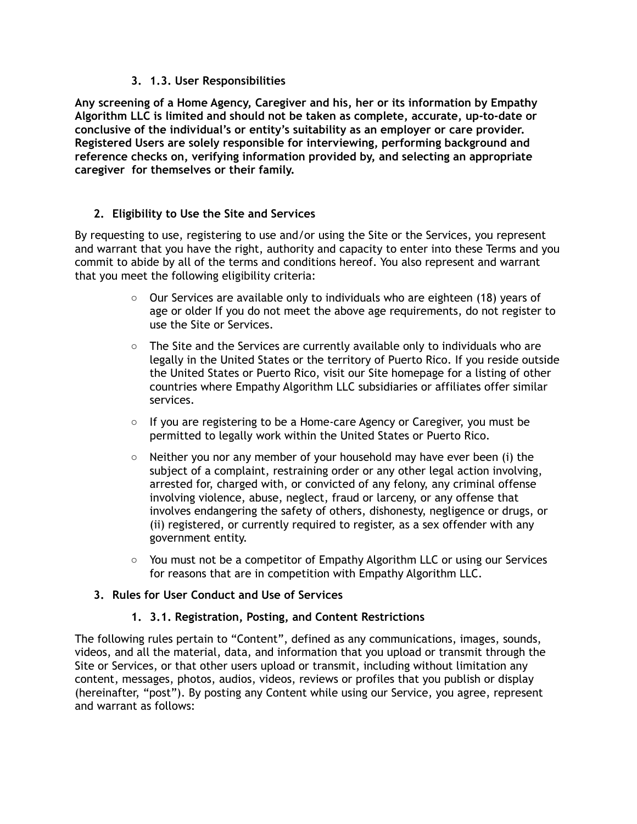## **3. 1.3. User Responsibilities**

**Any screening of a Home Agency, Caregiver and his, her or its information by Empathy Algorithm LLC is limited and should not be taken as complete, accurate, up-to-date or conclusive of the individual's or entity's suitability as an employer or care provider. Registered Users are solely responsible for interviewing, performing background and reference checks on, verifying information provided by, and selecting an appropriate caregiver for themselves or their family.** 

# **2. Eligibility to Use the Site and Services**

By requesting to use, registering to use and/or using the Site or the Services, you represent and warrant that you have the right, authority and capacity to enter into these Terms and you commit to abide by all of the terms and conditions hereof. You also represent and warrant that you meet the following eligibility criteria:

- $\circ$  Our Services are available only to individuals who are eighteen (18) years of age or older If you do not meet the above age requirements, do not register to use the Site or Services.
- $\circ$  The Site and the Services are currently available only to individuals who are legally in the United States or the territory of Puerto Rico. If you reside outside the United States or Puerto Rico, visit our Site homepage for a listing of other countries where Empathy Algorithm LLC subsidiaries or affiliates offer similar services.
- $\circ$  If you are registering to be a Home-care Agency or Caregiver, you must be permitted to legally work within the United States or Puerto Rico.
- $\circ$  Neither you nor any member of your household may have ever been (i) the subject of a complaint, restraining order or any other legal action involving, arrested for, charged with, or convicted of any felony, any criminal offense involving violence, abuse, neglect, fraud or larceny, or any offense that involves endangering the safety of others, dishonesty, negligence or drugs, or (ii) registered, or currently required to register, as a sex offender with any government entity.
- $\circ$  You must not be a competitor of Empathy Algorithm LLC or using our Services for reasons that are in competition with Empathy Algorithm LLC.

### **3. Rules for User Conduct and Use of Services**

### **1. 3.1. Registration, Posting, and Content Restrictions**

The following rules pertain to "Content", defined as any communications, images, sounds, videos, and all the material, data, and information that you upload or transmit through the Site or Services, or that other users upload or transmit, including without limitation any content, messages, photos, audios, videos, reviews or profiles that you publish or display (hereinafter, "post"). By posting any Content while using our Service, you agree, represent and warrant as follows: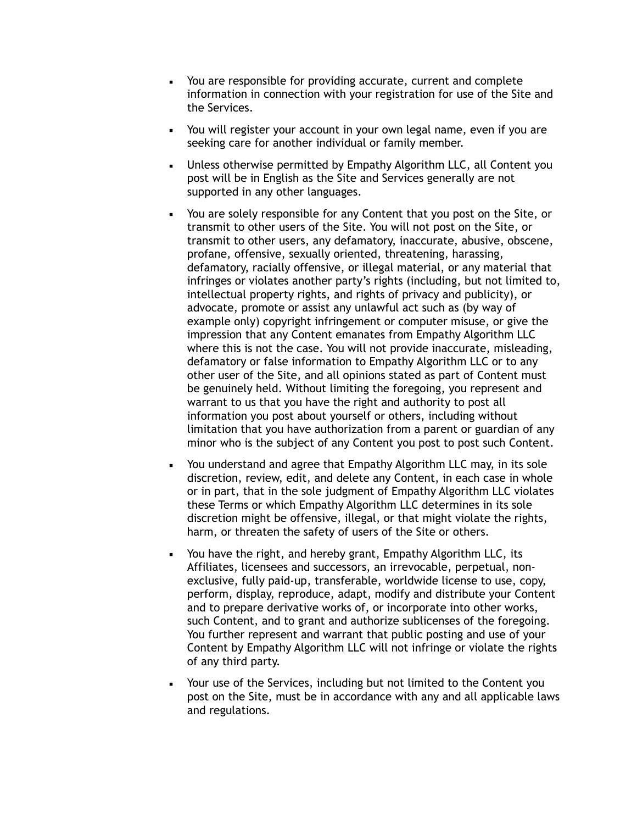- You are responsible for providing accurate, current and complete information in connection with your registration for use of the Site and the Services.
- You will register your account in your own legal name, even if you are seeking care for another individual or family member.
- Unless otherwise permitted by Empathy Algorithm LLC, all Content you post will be in English as the Site and Services generally are not supported in any other languages.
- You are solely responsible for any Content that you post on the Site, or transmit to other users of the Site. You will not post on the Site, or transmit to other users, any defamatory, inaccurate, abusive, obscene, profane, offensive, sexually oriented, threatening, harassing, defamatory, racially offensive, or illegal material, or any material that infringes or violates another party's rights (including, but not limited to, intellectual property rights, and rights of privacy and publicity), or advocate, promote or assist any unlawful act such as (by way of example only) copyright infringement or computer misuse, or give the impression that any Content emanates from Empathy Algorithm LLC where this is not the case. You will not provide inaccurate, misleading, defamatory or false information to Empathy Algorithm LLC or to any other user of the Site, and all opinions stated as part of Content must be genuinely held. Without limiting the foregoing, you represent and warrant to us that you have the right and authority to post all information you post about yourself or others, including without limitation that you have authorization from a parent or guardian of any minor who is the subject of any Content you post to post such Content.
- You understand and agree that Empathy Algorithm LLC may, in its sole discretion, review, edit, and delete any Content, in each case in whole or in part, that in the sole judgment of Empathy Algorithm LLC violates these Terms or which Empathy Algorithm LLC determines in its sole discretion might be offensive, illegal, or that might violate the rights, harm, or threaten the safety of users of the Site or others.
- You have the right, and hereby grant, Empathy Algorithm LLC, its Affiliates, licensees and successors, an irrevocable, perpetual, nonexclusive, fully paid-up, transferable, worldwide license to use, copy, perform, display, reproduce, adapt, modify and distribute your Content and to prepare derivative works of, or incorporate into other works, such Content, and to grant and authorize sublicenses of the foregoing. You further represent and warrant that public posting and use of your Content by Empathy Algorithm LLC will not infringe or violate the rights of any third party.
- Your use of the Services, including but not limited to the Content you post on the Site, must be in accordance with any and all applicable laws and regulations.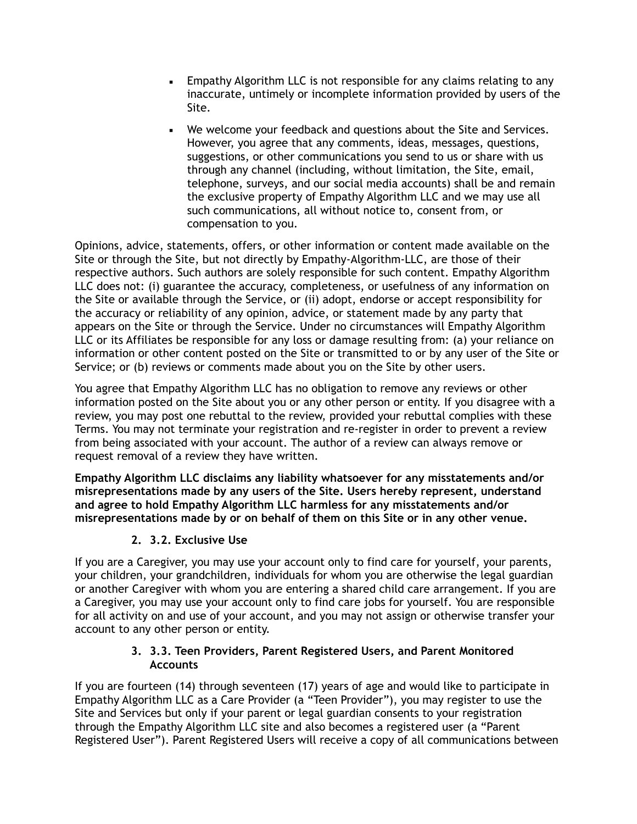- **Empathy Algorithm LLC** is not responsible for any claims relating to any inaccurate, untimely or incomplete information provided by users of the Site.
- We welcome your feedback and questions about the Site and Services. However, you agree that any comments, ideas, messages, questions, suggestions, or other communications you send to us or share with us through any channel (including, without limitation, the Site, email, telephone, surveys, and our social media accounts) shall be and remain the exclusive property of Empathy Algorithm LLC and we may use all such communications, all without notice to, consent from, or compensation to you.

Opinions, advice, statements, offers, or other information or content made available on the Site or through the Site, but not directly by Empathy-Algorithm-LLC, are those of their respective authors. Such authors are solely responsible for such content. Empathy Algorithm LLC does not: (i) guarantee the accuracy, completeness, or usefulness of any information on the Site or available through the Service, or (ii) adopt, endorse or accept responsibility for the accuracy or reliability of any opinion, advice, or statement made by any party that appears on the Site or through the Service. Under no circumstances will Empathy Algorithm LLC or its Affiliates be responsible for any loss or damage resulting from: (a) your reliance on information or other content posted on the Site or transmitted to or by any user of the Site or Service; or (b) reviews or comments made about you on the Site by other users.

You agree that Empathy Algorithm LLC has no obligation to remove any reviews or other information posted on the Site about you or any other person or entity. If you disagree with a review, you may post one rebuttal to the review, provided your rebuttal complies with these Terms. You may not terminate your registration and re-register in order to prevent a review from being associated with your account. The author of a review can always remove or request removal of a review they have written.

**Empathy Algorithm LLC disclaims any liability whatsoever for any misstatements and/or misrepresentations made by any users of the Site. Users hereby represent, understand and agree to hold Empathy Algorithm LLC harmless for any misstatements and/or misrepresentations made by or on behalf of them on this Site or in any other venue.**

# **2. 3.2. Exclusive Use**

If you are a Caregiver, you may use your account only to find care for yourself, your parents, your children, your grandchildren, individuals for whom you are otherwise the legal guardian or another Caregiver with whom you are entering a shared child care arrangement. If you are a Caregiver, you may use your account only to find care jobs for yourself. You are responsible for all activity on and use of your account, and you may not assign or otherwise transfer your account to any other person or entity.

## **3. 3.3. Teen Providers, Parent Registered Users, and Parent Monitored Accounts**

If you are fourteen (14) through seventeen (17) years of age and would like to participate in Empathy Algorithm LLC as a Care Provider (a "Teen Provider"), you may register to use the Site and Services but only if your parent or legal guardian consents to your registration through the Empathy Algorithm LLC site and also becomes a registered user (a "Parent Registered User"). Parent Registered Users will receive a copy of all communications between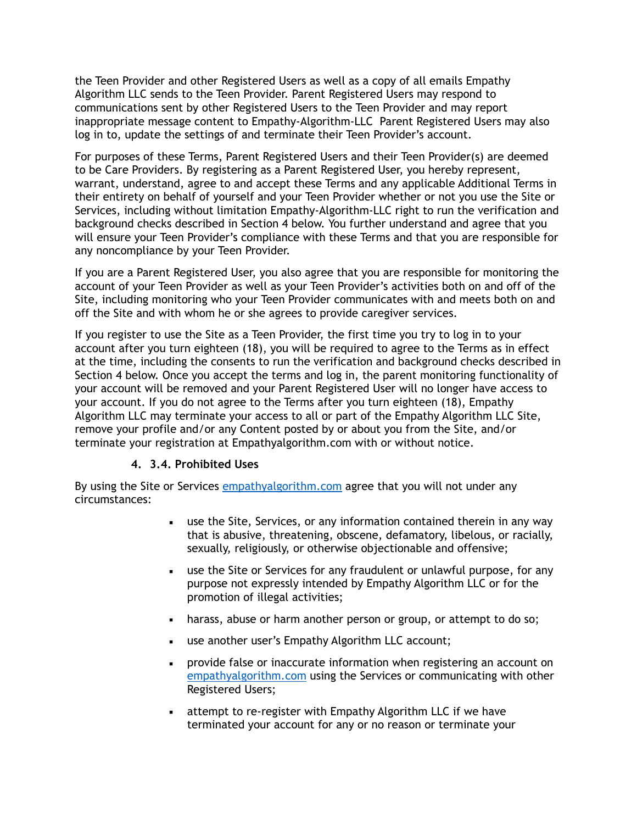the Teen Provider and other Registered Users as well as a copy of all emails Empathy Algorithm LLC sends to the Teen Provider. Parent Registered Users may respond to communications sent by other Registered Users to the Teen Provider and may report inappropriate message content to Empathy-Algorithm-LLC Parent Registered Users may also log in to, update the settings of and terminate their Teen Provider's account.

For purposes of these Terms, Parent Registered Users and their Teen Provider(s) are deemed to be Care Providers. By registering as a Parent Registered User, you hereby represent, warrant, understand, agree to and accept these Terms and any applicable Additional Terms in their entirety on behalf of yourself and your Teen Provider whether or not you use the Site or Services, including without limitation Empathy-Algorithm-LLC right to run the verification and background checks described in Section 4 below. You further understand and agree that you will ensure your Teen Provider's compliance with these Terms and that you are responsible for any noncompliance by your Teen Provider.

If you are a Parent Registered User, you also agree that you are responsible for monitoring the account of your Teen Provider as well as your Teen Provider's activities both on and off of the Site, including monitoring who your Teen Provider communicates with and meets both on and off the Site and with whom he or she agrees to provide caregiver services.

If you register to use the Site as a Teen Provider, the first time you try to log in to your account after you turn eighteen (18), you will be required to agree to the Terms as in effect at the time, including the consents to run the verification and background checks described in Section 4 below. Once you accept the terms and log in, the parent monitoring functionality of your account will be removed and your Parent Registered User will no longer have access to your account. If you do not agree to the Terms after you turn eighteen (18), Empathy Algorithm LLC may terminate your access to all or part of the Empathy Algorithm LLC Site, remove your profile and/or any Content posted by or about you from the Site, and/or terminate your registration at Empathyalgorithm.com with or without notice.

# **4. 3.4. Prohibited Uses**

By using the Site or Services [empathyalgorithm.com](http://empathyalgorithm.com) agree that you will not under any circumstances:

- use the Site, Services, or any information contained therein in any way that is abusive, threatening, obscene, defamatory, libelous, or racially, sexually, religiously, or otherwise objectionable and offensive;
- **EXED** use the Site or Services for any fraudulent or unlawful purpose, for any purpose not expressly intended by Empathy Algorithm LLC or for the promotion of illegal activities;
- **EXECT** harass, abuse or harm another person or group, or attempt to do so;
- use another user's Empathy Algorithm LLC account;
- **•** provide false or inaccurate information when registering an account on [empathyalgorithm.com](http://empathyalgorithm.com) using the Services or communicating with other Registered Users;
- attempt to re-register with Empathy Algorithm LLC if we have terminated your account for any or no reason or terminate your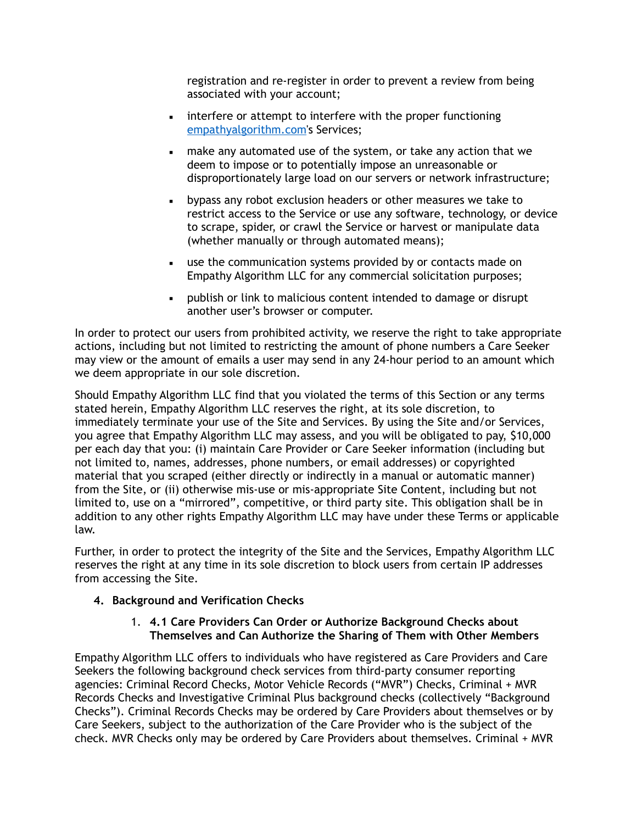registration and re-register in order to prevent a review from being associated with your account;

- **•** interfere or attempt to interfere with the proper functioning [empathyalgorithm.com](http://empathyalgorithm.com)'s Services;
- make any automated use of the system, or take any action that we deem to impose or to potentially impose an unreasonable or disproportionately large load on our servers or network infrastructure;
- bypass any robot exclusion headers or other measures we take to restrict access to the Service or use any software, technology, or device to scrape, spider, or crawl the Service or harvest or manipulate data (whether manually or through automated means);
- **EXECT** use the communication systems provided by or contacts made on Empathy Algorithm LLC for any commercial solicitation purposes;
- **•** publish or link to malicious content intended to damage or disrupt another user's browser or computer.

In order to protect our users from prohibited activity, we reserve the right to take appropriate actions, including but not limited to restricting the amount of phone numbers a Care Seeker may view or the amount of emails a user may send in any 24-hour period to an amount which we deem appropriate in our sole discretion.

Should Empathy Algorithm LLC find that you violated the terms of this Section or any terms stated herein, Empathy Algorithm LLC reserves the right, at its sole discretion, to immediately terminate your use of the Site and Services. By using the Site and/or Services, you agree that Empathy Algorithm LLC may assess, and you will be obligated to pay, \$10,000 per each day that you: (i) maintain Care Provider or Care Seeker information (including but not limited to, names, addresses, phone numbers, or email addresses) or copyrighted material that you scraped (either directly or indirectly in a manual or automatic manner) from the Site, or (ii) otherwise mis-use or mis-appropriate Site Content, including but not limited to, use on a "mirrored", competitive, or third party site. This obligation shall be in addition to any other rights Empathy Algorithm LLC may have under these Terms or applicable law.

Further, in order to protect the integrity of the Site and the Services, Empathy Algorithm LLC reserves the right at any time in its sole discretion to block users from certain IP addresses from accessing the Site.

# **4. Background and Verification Checks**

## 1. **4.1 Care Providers Can Order or Authorize Background Checks about Themselves and Can Authorize the Sharing of Them with Other Members**

Empathy Algorithm LLC offers to individuals who have registered as Care Providers and Care Seekers the following background check services from third-party consumer reporting agencies: Criminal Record Checks, Motor Vehicle Records ("MVR") Checks, Criminal + MVR Records Checks and Investigative Criminal Plus background checks (collectively "Background Checks"). Criminal Records Checks may be ordered by Care Providers about themselves or by Care Seekers, subject to the authorization of the Care Provider who is the subject of the check. MVR Checks only may be ordered by Care Providers about themselves. Criminal + MVR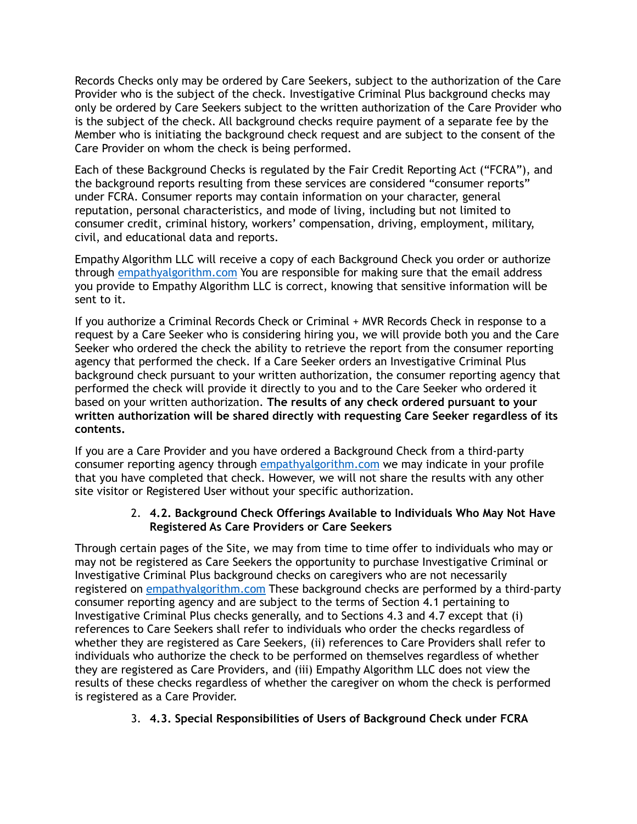Records Checks only may be ordered by Care Seekers, subject to the authorization of the Care Provider who is the subject of the check. Investigative Criminal Plus background checks may only be ordered by Care Seekers subject to the written authorization of the Care Provider who is the subject of the check. All background checks require payment of a separate fee by the Member who is initiating the background check request and are subject to the consent of the Care Provider on whom the check is being performed.

Each of these Background Checks is regulated by the Fair Credit Reporting Act ("FCRA"), and the background reports resulting from these services are considered "consumer reports" under FCRA. Consumer reports may contain information on your character, general reputation, personal characteristics, and mode of living, including but not limited to consumer credit, criminal history, workers' compensation, driving, employment, military, civil, and educational data and reports.

Empathy Algorithm LLC will receive a copy of each Background Check you order or authorize through [empathyalgorithm.com](http://empathyalgorithm.com) You are responsible for making sure that the email address you provide to Empathy Algorithm LLC is correct, knowing that sensitive information will be sent to it.

If you authorize a Criminal Records Check or Criminal + MVR Records Check in response to a request by a Care Seeker who is considering hiring you, we will provide both you and the Care Seeker who ordered the check the ability to retrieve the report from the consumer reporting agency that performed the check. If a Care Seeker orders an Investigative Criminal Plus background check pursuant to your written authorization, the consumer reporting agency that performed the check will provide it directly to you and to the Care Seeker who ordered it based on your written authorization. **The results of any check ordered pursuant to your written authorization will be shared directly with requesting Care Seeker regardless of its contents.**

If you are a Care Provider and you have ordered a Background Check from a third-party consumer reporting agency through [empathyalgorithm.com](http://empathyalgorithm.com) we may indicate in your profile that you have completed that check. However, we will not share the results with any other site visitor or Registered User without your specific authorization.

### 2. **4.2. Background Check Offerings Available to Individuals Who May Not Have Registered As Care Providers or Care Seekers**

Through certain pages of the Site, we may from time to time offer to individuals who may or may not be registered as Care Seekers the opportunity to purchase Investigative Criminal or Investigative Criminal Plus background checks on caregivers who are not necessarily registered on [empathyalgorithm.com](http://empathyalgorithm.com) These background checks are performed by a third-party consumer reporting agency and are subject to the terms of Section 4.1 pertaining to Investigative Criminal Plus checks generally, and to Sections 4.3 and 4.7 except that (i) references to Care Seekers shall refer to individuals who order the checks regardless of whether they are registered as Care Seekers, (ii) references to Care Providers shall refer to individuals who authorize the check to be performed on themselves regardless of whether they are registered as Care Providers, and (iii) Empathy Algorithm LLC does not view the results of these checks regardless of whether the caregiver on whom the check is performed is registered as a Care Provider.

# 3. **4.3. Special Responsibilities of Users of Background Check under FCRA**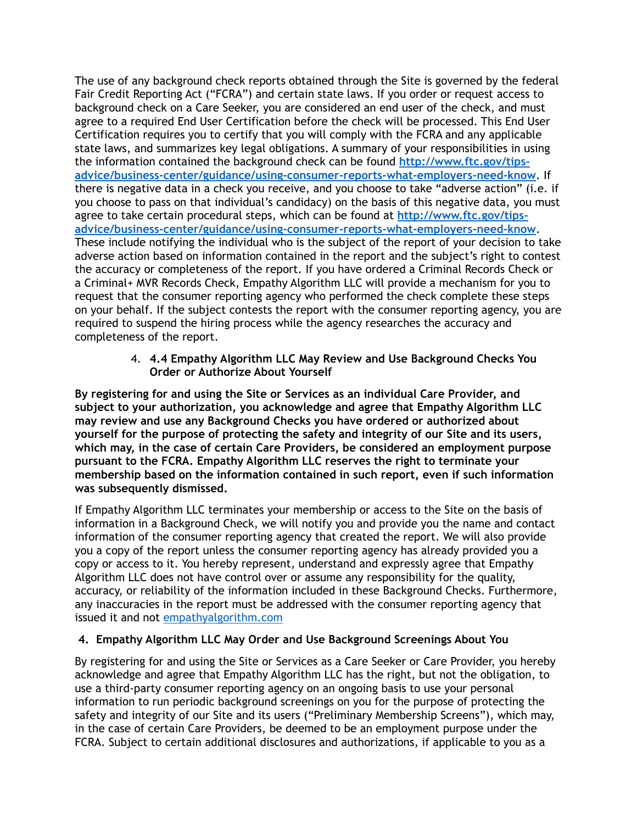The use of any background check reports obtained through the Site is governed by the federal Fair Credit Reporting Act ("FCRA") and certain state laws. If you order or request access to background check on a Care Seeker, you are considered an end user of the check, and must agree to a required End User Certification before the check will be processed. This End User Certification requires you to certify that you will comply with the FCRA and any applicable state laws, and summarizes key legal obligations. A summary of your responsibilities in using the information contained the background check can be found **[http://www.ftc.gov/tips](http://www.ftc.gov/tips-advice/business-center/guidance/using-consumer-reports-what-employers-need-know)[advice/business-center/guidance/using-consumer-reports-what-employers-need-know](http://www.ftc.gov/tips-advice/business-center/guidance/using-consumer-reports-what-employers-need-know)**. If there is negative data in a check you receive, and you choose to take "adverse action" (i.e. if you choose to pass on that individual's candidacy) on the basis of this negative data, you must agree to take certain procedural steps, which can be found at **[http://www.ftc.gov/tips](http://www.ftc.gov/tips-advice/business-center/guidance/using-consumer-reports-what-employers-need-know)[advice/business-center/guidance/using-consumer-reports-what-employers-need-know](http://www.ftc.gov/tips-advice/business-center/guidance/using-consumer-reports-what-employers-need-know)**. These include notifying the individual who is the subject of the report of your decision to take adverse action based on information contained in the report and the subject's right to contest the accuracy or completeness of the report. If you have ordered a Criminal Records Check or a Criminal+ MVR Records Check, Empathy Algorithm LLC will provide a mechanism for you to request that the consumer reporting agency who performed the check complete these steps on your behalf. If the subject contests the report with the consumer reporting agency, you are required to suspend the hiring process while the agency researches the accuracy and completeness of the report.

> 4. **4.4 Empathy Algorithm LLC May Review and Use Background Checks You Order or Authorize About Yourself**

**By registering for and using the Site or Services as an individual Care Provider, and subject to your authorization, you acknowledge and agree that Empathy Algorithm LLC may review and use any Background Checks you have ordered or authorized about yourself for the purpose of protecting the safety and integrity of our Site and its users, which may, in the case of certain Care Providers, be considered an employment purpose pursuant to the FCRA. Empathy Algorithm LLC reserves the right to terminate your membership based on the information contained in such report, even if such information was subsequently dismissed.**

If Empathy Algorithm LLC terminates your membership or access to the Site on the basis of information in a Background Check, we will notify you and provide you the name and contact information of the consumer reporting agency that created the report. We will also provide you a copy of the report unless the consumer reporting agency has already provided you a copy or access to it. You hereby represent, understand and expressly agree that Empathy Algorithm LLC does not have control over or assume any responsibility for the quality, accuracy, or reliability of the information included in these Background Checks. Furthermore, any inaccuracies in the report must be addressed with the consumer reporting agency that issued it and not [empathyalgorithm.com](http://empathyalgorithm.com)

### **4. Empathy Algorithm LLC May Order and Use Background Screenings About You**

By registering for and using the Site or Services as a Care Seeker or Care Provider, you hereby acknowledge and agree that Empathy Algorithm LLC has the right, but not the obligation, to use a third-party consumer reporting agency on an ongoing basis to use your personal information to run periodic background screenings on you for the purpose of protecting the safety and integrity of our Site and its users ("Preliminary Membership Screens"), which may, in the case of certain Care Providers, be deemed to be an employment purpose under the FCRA. Subject to certain additional disclosures and authorizations, if applicable to you as a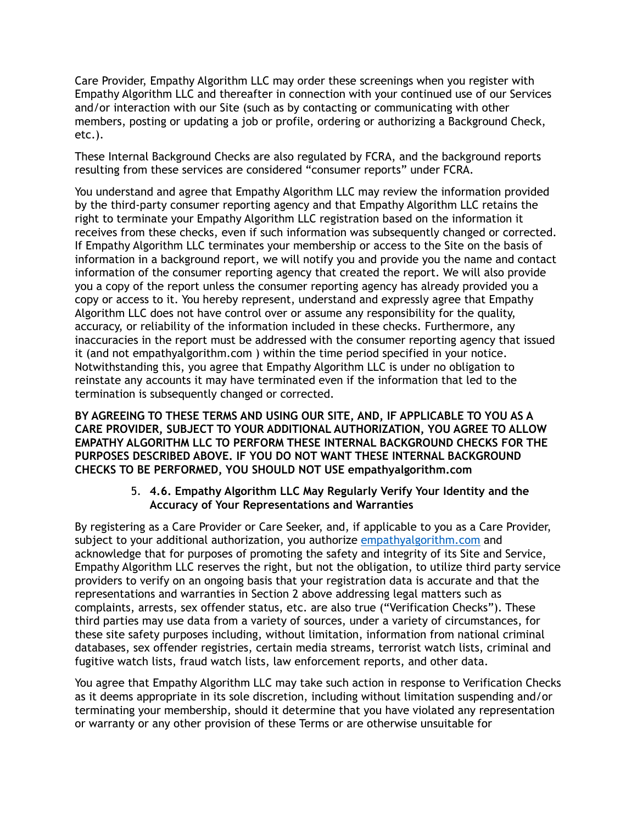Care Provider, Empathy Algorithm LLC may order these screenings when you register with Empathy Algorithm LLC and thereafter in connection with your continued use of our Services and/or interaction with our Site (such as by contacting or communicating with other members, posting or updating a job or profile, ordering or authorizing a Background Check, etc.).

These Internal Background Checks are also regulated by FCRA, and the background reports resulting from these services are considered "consumer reports" under FCRA.

You understand and agree that Empathy Algorithm LLC may review the information provided by the third-party consumer reporting agency and that Empathy Algorithm LLC retains the right to terminate your Empathy Algorithm LLC registration based on the information it receives from these checks, even if such information was subsequently changed or corrected. If Empathy Algorithm LLC terminates your membership or access to the Site on the basis of information in a background report, we will notify you and provide you the name and contact information of the consumer reporting agency that created the report. We will also provide you a copy of the report unless the consumer reporting agency has already provided you a copy or access to it. You hereby represent, understand and expressly agree that Empathy Algorithm LLC does not have control over or assume any responsibility for the quality, accuracy, or reliability of the information included in these checks. Furthermore, any inaccuracies in the report must be addressed with the consumer reporting agency that issued it (and not empathyalgorithm.com ) within the time period specified in your notice. Notwithstanding this, you agree that Empathy Algorithm LLC is under no obligation to reinstate any accounts it may have terminated even if the information that led to the termination is subsequently changed or corrected.

**BY AGREEING TO THESE TERMS AND USING OUR SITE, AND, IF APPLICABLE TO YOU AS A CARE PROVIDER, SUBJECT TO YOUR ADDITIONAL AUTHORIZATION, YOU AGREE TO ALLOW EMPATHY ALGORITHM LLC TO PERFORM THESE INTERNAL BACKGROUND CHECKS FOR THE PURPOSES DESCRIBED ABOVE. IF YOU DO NOT WANT THESE INTERNAL BACKGROUND CHECKS TO BE PERFORMED, YOU SHOULD NOT USE empathyalgorithm.com**

### 5. **4.6. Empathy Algorithm LLC May Regularly Verify Your Identity and the Accuracy of Your Representations and Warranties**

By registering as a Care Provider or Care Seeker, and, if applicable to you as a Care Provider, subject to your additional authorization, you authorize [empathyalgorithm.com](http://empathyalgorithm.com) and acknowledge that for purposes of promoting the safety and integrity of its Site and Service, Empathy Algorithm LLC reserves the right, but not the obligation, to utilize third party service providers to verify on an ongoing basis that your registration data is accurate and that the representations and warranties in Section 2 above addressing legal matters such as complaints, arrests, sex offender status, etc. are also true ("Verification Checks"). These third parties may use data from a variety of sources, under a variety of circumstances, for these site safety purposes including, without limitation, information from national criminal databases, sex offender registries, certain media streams, terrorist watch lists, criminal and fugitive watch lists, fraud watch lists, law enforcement reports, and other data.

You agree that Empathy Algorithm LLC may take such action in response to Verification Checks as it deems appropriate in its sole discretion, including without limitation suspending and/or terminating your membership, should it determine that you have violated any representation or warranty or any other provision of these Terms or are otherwise unsuitable for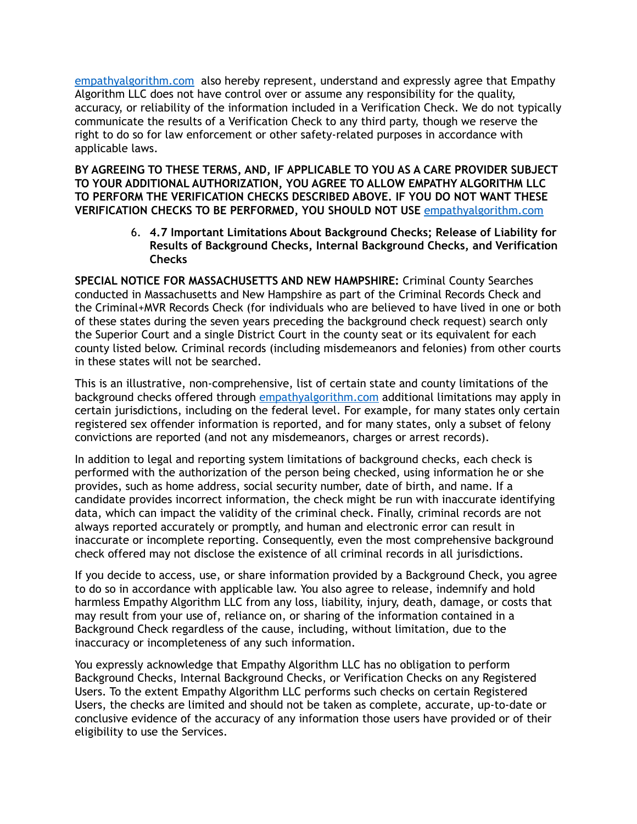[empathyalgorithm.com](http://empathyalgorithm.com) also hereby represent, understand and expressly agree that Empathy Algorithm LLC does not have control over or assume any responsibility for the quality, accuracy, or reliability of the information included in a Verification Check. We do not typically communicate the results of a Verification Check to any third party, though we reserve the right to do so for law enforcement or other safety-related purposes in accordance with applicable laws.

**BY AGREEING TO THESE TERMS, AND, IF APPLICABLE TO YOU AS A CARE PROVIDER SUBJECT TO YOUR ADDITIONAL AUTHORIZATION, YOU AGREE TO ALLOW EMPATHY ALGORITHM LLC TO PERFORM THE VERIFICATION CHECKS DESCRIBED ABOVE. IF YOU DO NOT WANT THESE VERIFICATION CHECKS TO BE PERFORMED, YOU SHOULD NOT USE** [empathyalgorithm.com](http://empathyalgorithm.com)

> 6. **4.7 Important Limitations About Background Checks; Release of Liability for Results of Background Checks, Internal Background Checks, and Verification Checks**

**SPECIAL NOTICE FOR MASSACHUSETTS AND NEW HAMPSHIRE:** Criminal County Searches conducted in Massachusetts and New Hampshire as part of the Criminal Records Check and the Criminal+MVR Records Check (for individuals who are believed to have lived in one or both of these states during the seven years preceding the background check request) search only the Superior Court and a single District Court in the county seat or its equivalent for each county listed below. Criminal records (including misdemeanors and felonies) from other courts in these states will not be searched.

This is an illustrative, non-comprehensive, list of certain state and county limitations of the background checks offered through [empathyalgorithm.com](http://empathyalgorithm.com) additional limitations may apply in certain jurisdictions, including on the federal level. For example, for many states only certain registered sex offender information is reported, and for many states, only a subset of felony convictions are reported (and not any misdemeanors, charges or arrest records).

In addition to legal and reporting system limitations of background checks, each check is performed with the authorization of the person being checked, using information he or she provides, such as home address, social security number, date of birth, and name. If a candidate provides incorrect information, the check might be run with inaccurate identifying data, which can impact the validity of the criminal check. Finally, criminal records are not always reported accurately or promptly, and human and electronic error can result in inaccurate or incomplete reporting. Consequently, even the most comprehensive background check offered may not disclose the existence of all criminal records in all jurisdictions.

If you decide to access, use, or share information provided by a Background Check, you agree to do so in accordance with applicable law. You also agree to release, indemnify and hold harmless Empathy Algorithm LLC from any loss, liability, injury, death, damage, or costs that may result from your use of, reliance on, or sharing of the information contained in a Background Check regardless of the cause, including, without limitation, due to the inaccuracy or incompleteness of any such information.

You expressly acknowledge that Empathy Algorithm LLC has no obligation to perform Background Checks, Internal Background Checks, or Verification Checks on any Registered Users. To the extent Empathy Algorithm LLC performs such checks on certain Registered Users, the checks are limited and should not be taken as complete, accurate, up-to-date or conclusive evidence of the accuracy of any information those users have provided or of their eligibility to use the Services.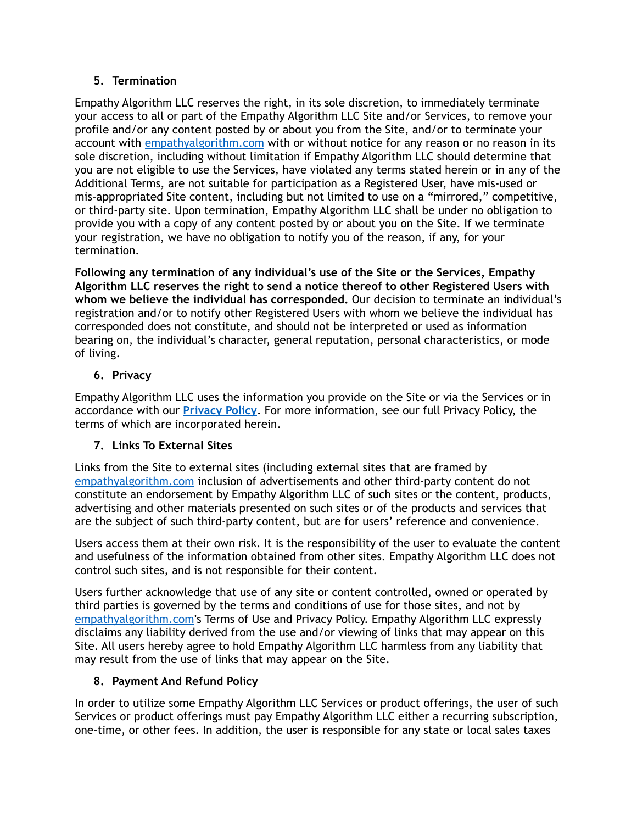# **5. Termination**

Empathy Algorithm LLC reserves the right, in its sole discretion, to immediately terminate your access to all or part of the Empathy Algorithm LLC Site and/or Services, to remove your profile and/or any content posted by or about you from the Site, and/or to terminate your account with [empathyalgorithm.com](http://empathyalgorithm.com) with or without notice for any reason or no reason in its sole discretion, including without limitation if Empathy Algorithm LLC should determine that you are not eligible to use the Services, have violated any terms stated herein or in any of the Additional Terms, are not suitable for participation as a Registered User, have mis-used or mis-appropriated Site content, including but not limited to use on a "mirrored," competitive, or third-party site. Upon termination, Empathy Algorithm LLC shall be under no obligation to provide you with a copy of any content posted by or about you on the Site. If we terminate your registration, we have no obligation to notify you of the reason, if any, for your termination.

**Following any termination of any individual's use of the Site or the Services, Empathy Algorithm LLC reserves the right to send a notice thereof to other Registered Users with whom we believe the individual has corresponded.** Our decision to terminate an individual's registration and/or to notify other Registered Users with whom we believe the individual has corresponded does not constitute, and should not be interpreted or used as information bearing on, the individual's character, general reputation, personal characteristics, or mode of living.

# **6. Privacy**

Empathy Algorithm LLC uses the information you provide on the Site or via the Services or in accordance with our **[Privacy Policy](https://www.care.com/privacy-policy-p1013.html)**. For more information, see our full Privacy Policy, the terms of which are incorporated herein.

# **7. Links To External Sites**

Links from the Site to external sites (including external sites that are framed by [empathyalgorithm.com](http://empathyalgorithm.com) inclusion of advertisements and other third-party content do not constitute an endorsement by Empathy Algorithm LLC of such sites or the content, products, advertising and other materials presented on such sites or of the products and services that are the subject of such third-party content, but are for users' reference and convenience.

Users access them at their own risk. It is the responsibility of the user to evaluate the content and usefulness of the information obtained from other sites. Empathy Algorithm LLC does not control such sites, and is not responsible for their content.

Users further acknowledge that use of any site or content controlled, owned or operated by third parties is governed by the terms and conditions of use for those sites, and not by [empathyalgorithm.com](http://empathyalgorithm.com)**'**s Terms of Use and Privacy Policy. Empathy Algorithm LLC expressly disclaims any liability derived from the use and/or viewing of links that may appear on this Site. All users hereby agree to hold Empathy Algorithm LLC harmless from any liability that may result from the use of links that may appear on the Site.

# **8. Payment And Refund Policy**

In order to utilize some Empathy Algorithm LLC Services or product offerings, the user of such Services or product offerings must pay Empathy Algorithm LLC either a recurring subscription, one-time, or other fees. In addition, the user is responsible for any state or local sales taxes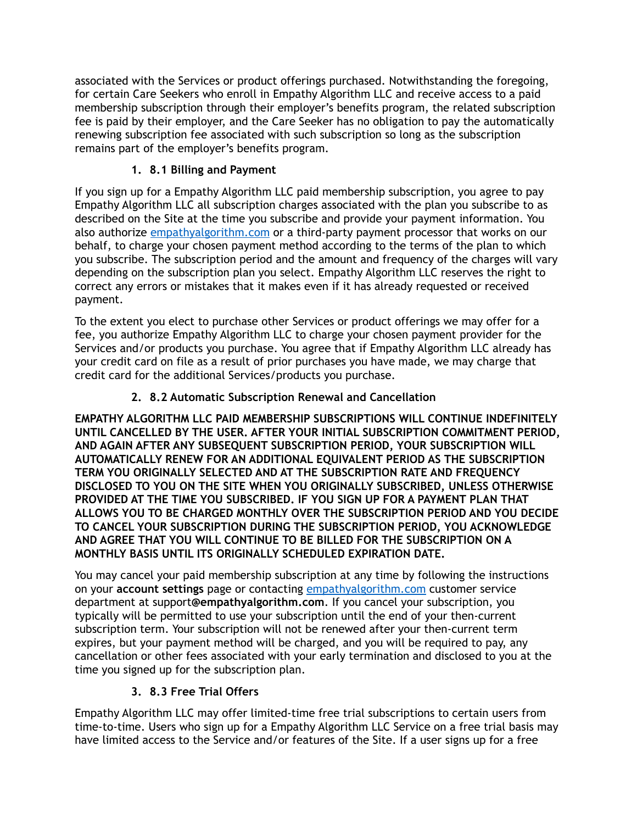associated with the Services or product offerings purchased. Notwithstanding the foregoing, for certain Care Seekers who enroll in Empathy Algorithm LLC and receive access to a paid membership subscription through their employer's benefits program, the related subscription fee is paid by their employer, and the Care Seeker has no obligation to pay the automatically renewing subscription fee associated with such subscription so long as the subscription remains part of the employer's benefits program.

# **1. 8.1 Billing and Payment**

If you sign up for a Empathy Algorithm LLC paid membership subscription, you agree to pay Empathy Algorithm LLC all subscription charges associated with the plan you subscribe to as described on the Site at the time you subscribe and provide your payment information. You also authorize [empathyalgorithm.com](http://empathyalgorithm.com) or a third-party payment processor that works on our behalf, to charge your chosen payment method according to the terms of the plan to which you subscribe. The subscription period and the amount and frequency of the charges will vary depending on the subscription plan you select. Empathy Algorithm LLC reserves the right to correct any errors or mistakes that it makes even if it has already requested or received payment.

To the extent you elect to purchase other Services or product offerings we may offer for a fee, you authorize Empathy Algorithm LLC to charge your chosen payment provider for the Services and/or products you purchase. You agree that if Empathy Algorithm LLC already has your credit card on file as a result of prior purchases you have made, we may charge that credit card for the additional Services/products you purchase.

# **2. 8.2 Automatic Subscription Renewal and Cancellation**

**EMPATHY ALGORITHM LLC PAID MEMBERSHIP SUBSCRIPTIONS WILL CONTINUE INDEFINITELY UNTIL CANCELLED BY THE USER. AFTER YOUR INITIAL SUBSCRIPTION COMMITMENT PERIOD, AND AGAIN AFTER ANY SUBSEQUENT SUBSCRIPTION PERIOD, YOUR SUBSCRIPTION WILL AUTOMATICALLY RENEW FOR AN ADDITIONAL EQUIVALENT PERIOD AS THE SUBSCRIPTION TERM YOU ORIGINALLY SELECTED AND AT THE SUBSCRIPTION RATE AND FREQUENCY DISCLOSED TO YOU ON THE SITE WHEN YOU ORIGINALLY SUBSCRIBED, UNLESS OTHERWISE PROVIDED AT THE TIME YOU SUBSCRIBED. IF YOU SIGN UP FOR A PAYMENT PLAN THAT ALLOWS YOU TO BE CHARGED MONTHLY OVER THE SUBSCRIPTION PERIOD AND YOU DECIDE TO CANCEL YOUR SUBSCRIPTION DURING THE SUBSCRIPTION PERIOD, YOU ACKNOWLEDGE AND AGREE THAT YOU WILL CONTINUE TO BE BILLED FOR THE SUBSCRIPTION ON A MONTHLY BASIS UNTIL ITS ORIGINALLY SCHEDULED EXPIRATION DATE.**

You may cancel your paid membership subscription at any time by following the instructions on your **account settings** page or contacting [empathyalgorithm.com](http://empathyalgorithm.com) customer service department at support**@empathyalgorithm.com**. If you cancel your subscription, you typically will be permitted to use your subscription until the end of your then-current subscription term. Your subscription will not be renewed after your then-current term expires, but your payment method will be charged, and you will be required to pay, any cancellation or other fees associated with your early termination and disclosed to you at the time you signed up for the subscription plan.

# **3. 8.3 Free Trial Offers**

Empathy Algorithm LLC may offer limited-time free trial subscriptions to certain users from time-to-time. Users who sign up for a Empathy Algorithm LLC Service on a free trial basis may have limited access to the Service and/or features of the Site. If a user signs up for a free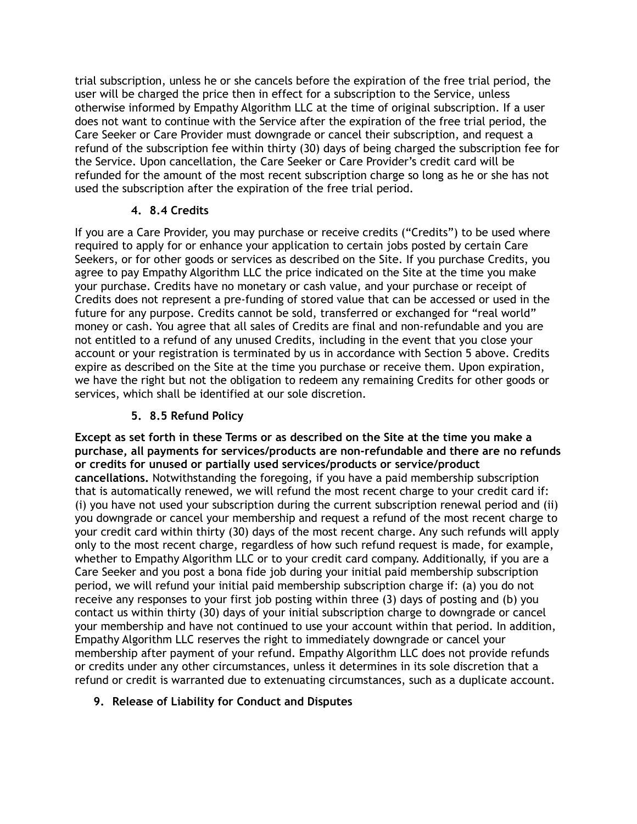trial subscription, unless he or she cancels before the expiration of the free trial period, the user will be charged the price then in effect for a subscription to the Service, unless otherwise informed by Empathy Algorithm LLC at the time of original subscription. If a user does not want to continue with the Service after the expiration of the free trial period, the Care Seeker or Care Provider must downgrade or cancel their subscription, and request a refund of the subscription fee within thirty (30) days of being charged the subscription fee for the Service. Upon cancellation, the Care Seeker or Care Provider's credit card will be refunded for the amount of the most recent subscription charge so long as he or she has not used the subscription after the expiration of the free trial period.

## **4. 8.4 Credits**

If you are a Care Provider, you may purchase or receive credits ("Credits") to be used where required to apply for or enhance your application to certain jobs posted by certain Care Seekers, or for other goods or services as described on the Site. If you purchase Credits, you agree to pay Empathy Algorithm LLC the price indicated on the Site at the time you make your purchase. Credits have no monetary or cash value, and your purchase or receipt of Credits does not represent a pre-funding of stored value that can be accessed or used in the future for any purpose. Credits cannot be sold, transferred or exchanged for "real world" money or cash. You agree that all sales of Credits are final and non-refundable and you are not entitled to a refund of any unused Credits, including in the event that you close your account or your registration is terminated by us in accordance with Section 5 above. Credits expire as described on the Site at the time you purchase or receive them. Upon expiration, we have the right but not the obligation to redeem any remaining Credits for other goods or services, which shall be identified at our sole discretion.

# **5. 8.5 Refund Policy**

**Except as set forth in these Terms or as described on the Site at the time you make a purchase, all payments for services/products are non-refundable and there are no refunds or credits for unused or partially used services/products or service/product cancellations.** Notwithstanding the foregoing, if you have a paid membership subscription that is automatically renewed, we will refund the most recent charge to your credit card if: (i) you have not used your subscription during the current subscription renewal period and (ii) you downgrade or cancel your membership and request a refund of the most recent charge to your credit card within thirty (30) days of the most recent charge. Any such refunds will apply only to the most recent charge, regardless of how such refund request is made, for example, whether to Empathy Algorithm LLC or to your credit card company. Additionally, if you are a Care Seeker and you post a bona fide job during your initial paid membership subscription period, we will refund your initial paid membership subscription charge if: (a) you do not receive any responses to your first job posting within three (3) days of posting and (b) you contact us within thirty (30) days of your initial subscription charge to downgrade or cancel your membership and have not continued to use your account within that period. In addition, Empathy Algorithm LLC reserves the right to immediately downgrade or cancel your membership after payment of your refund. Empathy Algorithm LLC does not provide refunds or credits under any other circumstances, unless it determines in its sole discretion that a refund or credit is warranted due to extenuating circumstances, such as a duplicate account.

# **9. Release of Liability for Conduct and Disputes**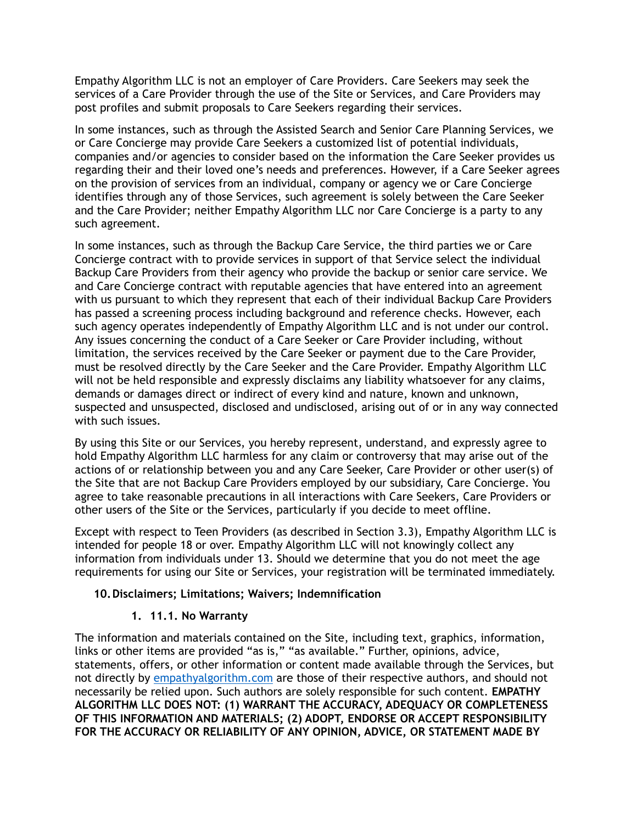Empathy Algorithm LLC is not an employer of Care Providers. Care Seekers may seek the services of a Care Provider through the use of the Site or Services, and Care Providers may post profiles and submit proposals to Care Seekers regarding their services.

In some instances, such as through the Assisted Search and Senior Care Planning Services, we or Care Concierge may provide Care Seekers a customized list of potential individuals, companies and/or agencies to consider based on the information the Care Seeker provides us regarding their and their loved one's needs and preferences. However, if a Care Seeker agrees on the provision of services from an individual, company or agency we or Care Concierge identifies through any of those Services, such agreement is solely between the Care Seeker and the Care Provider; neither Empathy Algorithm LLC nor Care Concierge is a party to any such agreement.

In some instances, such as through the Backup Care Service, the third parties we or Care Concierge contract with to provide services in support of that Service select the individual Backup Care Providers from their agency who provide the backup or senior care service. We and Care Concierge contract with reputable agencies that have entered into an agreement with us pursuant to which they represent that each of their individual Backup Care Providers has passed a screening process including background and reference checks. However, each such agency operates independently of Empathy Algorithm LLC and is not under our control. Any issues concerning the conduct of a Care Seeker or Care Provider including, without limitation, the services received by the Care Seeker or payment due to the Care Provider, must be resolved directly by the Care Seeker and the Care Provider. Empathy Algorithm LLC will not be held responsible and expressly disclaims any liability whatsoever for any claims, demands or damages direct or indirect of every kind and nature, known and unknown, suspected and unsuspected, disclosed and undisclosed, arising out of or in any way connected with such issues.

By using this Site or our Services, you hereby represent, understand, and expressly agree to hold Empathy Algorithm LLC harmless for any claim or controversy that may arise out of the actions of or relationship between you and any Care Seeker, Care Provider or other user(s) of the Site that are not Backup Care Providers employed by our subsidiary, Care Concierge. You agree to take reasonable precautions in all interactions with Care Seekers, Care Providers or other users of the Site or the Services, particularly if you decide to meet offline.

Except with respect to Teen Providers (as described in Section 3.3), Empathy Algorithm LLC is intended for people 18 or over. Empathy Algorithm LLC will not knowingly collect any information from individuals under 13. Should we determine that you do not meet the age requirements for using our Site or Services, your registration will be terminated immediately.

### **10.Disclaimers; Limitations; Waivers; Indemnification**

### **1. 11.1. No Warranty**

The information and materials contained on the Site, including text, graphics, information, links or other items are provided "as is," "as available." Further, opinions, advice, statements, offers, or other information or content made available through the Services, but not directly by [empathyalgorithm.com](http://empathyalgorithm.com) are those of their respective authors, and should not necessarily be relied upon. Such authors are solely responsible for such content. **EMPATHY ALGORITHM LLC DOES NOT: (1) WARRANT THE ACCURACY, ADEQUACY OR COMPLETENESS OF THIS INFORMATION AND MATERIALS; (2) ADOPT, ENDORSE OR ACCEPT RESPONSIBILITY FOR THE ACCURACY OR RELIABILITY OF ANY OPINION, ADVICE, OR STATEMENT MADE BY**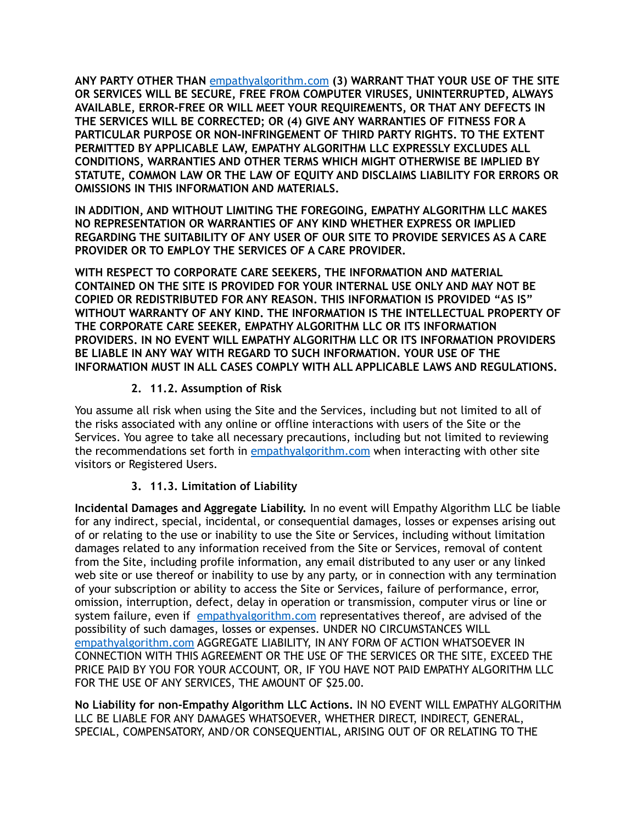**ANY PARTY OTHER THAN** [empathyalgorithm.com](http://empathyalgorithm.com) **(3) WARRANT THAT YOUR USE OF THE SITE OR SERVICES WILL BE SECURE, FREE FROM COMPUTER VIRUSES, UNINTERRUPTED, ALWAYS AVAILABLE, ERROR-FREE OR WILL MEET YOUR REQUIREMENTS, OR THAT ANY DEFECTS IN THE SERVICES WILL BE CORRECTED; OR (4) GIVE ANY WARRANTIES OF FITNESS FOR A PARTICULAR PURPOSE OR NON-INFRINGEMENT OF THIRD PARTY RIGHTS. TO THE EXTENT PERMITTED BY APPLICABLE LAW, EMPATHY ALGORITHM LLC EXPRESSLY EXCLUDES ALL CONDITIONS, WARRANTIES AND OTHER TERMS WHICH MIGHT OTHERWISE BE IMPLIED BY STATUTE, COMMON LAW OR THE LAW OF EQUITY AND DISCLAIMS LIABILITY FOR ERRORS OR OMISSIONS IN THIS INFORMATION AND MATERIALS.**

**IN ADDITION, AND WITHOUT LIMITING THE FOREGOING, EMPATHY ALGORITHM LLC MAKES NO REPRESENTATION OR WARRANTIES OF ANY KIND WHETHER EXPRESS OR IMPLIED REGARDING THE SUITABILITY OF ANY USER OF OUR SITE TO PROVIDE SERVICES AS A CARE PROVIDER OR TO EMPLOY THE SERVICES OF A CARE PROVIDER.**

**WITH RESPECT TO CORPORATE CARE SEEKERS, THE INFORMATION AND MATERIAL CONTAINED ON THE SITE IS PROVIDED FOR YOUR INTERNAL USE ONLY AND MAY NOT BE COPIED OR REDISTRIBUTED FOR ANY REASON. THIS INFORMATION IS PROVIDED "AS IS" WITHOUT WARRANTY OF ANY KIND. THE INFORMATION IS THE INTELLECTUAL PROPERTY OF THE CORPORATE CARE SEEKER, EMPATHY ALGORITHM LLC OR ITS INFORMATION PROVIDERS. IN NO EVENT WILL EMPATHY ALGORITHM LLC OR ITS INFORMATION PROVIDERS BE LIABLE IN ANY WAY WITH REGARD TO SUCH INFORMATION. YOUR USE OF THE INFORMATION MUST IN ALL CASES COMPLY WITH ALL APPLICABLE LAWS AND REGULATIONS.**

# **2. 11.2. Assumption of Risk**

You assume all risk when using the Site and the Services, including but not limited to all of the risks associated with any online or offline interactions with users of the Site or the Services. You agree to take all necessary precautions, including but not limited to reviewing the recommendations set forth in [empathyalgorithm.com](http://empathyalgorithm.com) when interacting with other site visitors or Registered Users.

# **3. 11.3. Limitation of Liability**

**Incidental Damages and Aggregate Liability.** In no event will Empathy Algorithm LLC be liable for any indirect, special, incidental, or consequential damages, losses or expenses arising out of or relating to the use or inability to use the Site or Services, including without limitation damages related to any information received from the Site or Services, removal of content from the Site, including profile information, any email distributed to any user or any linked web site or use thereof or inability to use by any party, or in connection with any termination of your subscription or ability to access the Site or Services, failure of performance, error, omission, interruption, defect, delay in operation or transmission, computer virus or line or system failure, even if [empathyalgorithm.com](http://empathyalgorithm.com) representatives thereof, are advised of the possibility of such damages, losses or expenses. UNDER NO CIRCUMSTANCES WILL [empathyalgorithm.com](http://empathyalgorithm.com) AGGREGATE LIABILITY, IN ANY FORM OF ACTION WHATSOEVER IN CONNECTION WITH THIS AGREEMENT OR THE USE OF THE SERVICES OR THE SITE, EXCEED THE PRICE PAID BY YOU FOR YOUR ACCOUNT, OR, IF YOU HAVE NOT PAID EMPATHY ALGORITHM LLC FOR THE USE OF ANY SERVICES, THE AMOUNT OF \$25.00.

**No Liability for non-Empathy Algorithm LLC Actions.** IN NO EVENT WILL EMPATHY ALGORITHM LLC BE LIABLE FOR ANY DAMAGES WHATSOEVER, WHETHER DIRECT, INDIRECT, GENERAL, SPECIAL, COMPENSATORY, AND/OR CONSEQUENTIAL, ARISING OUT OF OR RELATING TO THE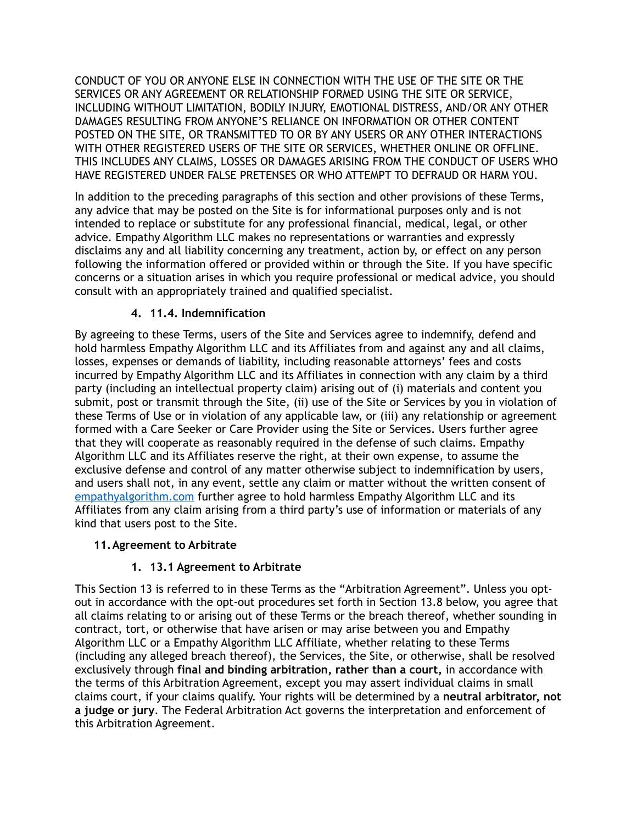CONDUCT OF YOU OR ANYONE ELSE IN CONNECTION WITH THE USE OF THE SITE OR THE SERVICES OR ANY AGREEMENT OR RELATIONSHIP FORMED USING THE SITE OR SERVICE, INCLUDING WITHOUT LIMITATION, BODILY INJURY, EMOTIONAL DISTRESS, AND/OR ANY OTHER DAMAGES RESULTING FROM ANYONE'S RELIANCE ON INFORMATION OR OTHER CONTENT POSTED ON THE SITE, OR TRANSMITTED TO OR BY ANY USERS OR ANY OTHER INTERACTIONS WITH OTHER REGISTERED USERS OF THE SITE OR SERVICES, WHETHER ONLINE OR OFFLINE. THIS INCLUDES ANY CLAIMS, LOSSES OR DAMAGES ARISING FROM THE CONDUCT OF USERS WHO HAVE REGISTERED UNDER FALSE PRETENSES OR WHO ATTEMPT TO DEFRAUD OR HARM YOU.

In addition to the preceding paragraphs of this section and other provisions of these Terms, any advice that may be posted on the Site is for informational purposes only and is not intended to replace or substitute for any professional financial, medical, legal, or other advice. Empathy Algorithm LLC makes no representations or warranties and expressly disclaims any and all liability concerning any treatment, action by, or effect on any person following the information offered or provided within or through the Site. If you have specific concerns or a situation arises in which you require professional or medical advice, you should consult with an appropriately trained and qualified specialist.

# **4. 11.4. Indemnification**

By agreeing to these Terms, users of the Site and Services agree to indemnify, defend and hold harmless Empathy Algorithm LLC and its Affiliates from and against any and all claims, losses, expenses or demands of liability, including reasonable attorneys' fees and costs incurred by Empathy Algorithm LLC and its Affiliates in connection with any claim by a third party (including an intellectual property claim) arising out of (i) materials and content you submit, post or transmit through the Site, (ii) use of the Site or Services by you in violation of these Terms of Use or in violation of any applicable law, or (iii) any relationship or agreement formed with a Care Seeker or Care Provider using the Site or Services. Users further agree that they will cooperate as reasonably required in the defense of such claims. Empathy Algorithm LLC and its Affiliates reserve the right, at their own expense, to assume the exclusive defense and control of any matter otherwise subject to indemnification by users, and users shall not, in any event, settle any claim or matter without the written consent of [empathyalgorithm.com](http://empathyalgorithm.com) further agree to hold harmless Empathy Algorithm LLC and its Affiliates from any claim arising from a third party's use of information or materials of any kind that users post to the Site.

# **11.Agreement to Arbitrate**

# **1. 13.1 Agreement to Arbitrate**

This Section 13 is referred to in these Terms as the "Arbitration Agreement". Unless you optout in accordance with the opt-out procedures set forth in Section 13.8 below, you agree that all claims relating to or arising out of these Terms or the breach thereof, whether sounding in contract, tort, or otherwise that have arisen or may arise between you and Empathy Algorithm LLC or a Empathy Algorithm LLC Affiliate, whether relating to these Terms (including any alleged breach thereof), the Services, the Site, or otherwise, shall be resolved exclusively through **final and binding arbitration, rather than a court,** in accordance with the terms of this Arbitration Agreement, except you may assert individual claims in small claims court, if your claims qualify. Your rights will be determined by a **neutral arbitrator, not a judge or jury**. The Federal Arbitration Act governs the interpretation and enforcement of this Arbitration Agreement.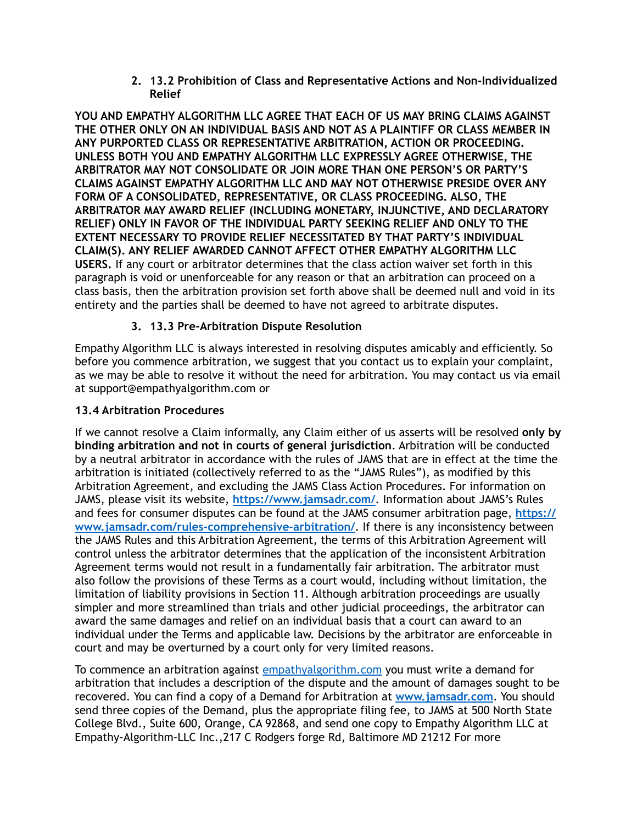**2. 13.2 Prohibition of Class and Representative Actions and Non-Individualized Relief** 

**YOU AND EMPATHY ALGORITHM LLC AGREE THAT EACH OF US MAY BRING CLAIMS AGAINST THE OTHER ONLY ON AN INDIVIDUAL BASIS AND NOT AS A PLAINTIFF OR CLASS MEMBER IN ANY PURPORTED CLASS OR REPRESENTATIVE ARBITRATION, ACTION OR PROCEEDING. UNLESS BOTH YOU AND EMPATHY ALGORITHM LLC EXPRESSLY AGREE OTHERWISE, THE ARBITRATOR MAY NOT CONSOLIDATE OR JOIN MORE THAN ONE PERSON'S OR PARTY'S CLAIMS AGAINST EMPATHY ALGORITHM LLC AND MAY NOT OTHERWISE PRESIDE OVER ANY FORM OF A CONSOLIDATED, REPRESENTATIVE, OR CLASS PROCEEDING. ALSO, THE ARBITRATOR MAY AWARD RELIEF (INCLUDING MONETARY, INJUNCTIVE, AND DECLARATORY RELIEF) ONLY IN FAVOR OF THE INDIVIDUAL PARTY SEEKING RELIEF AND ONLY TO THE EXTENT NECESSARY TO PROVIDE RELIEF NECESSITATED BY THAT PARTY'S INDIVIDUAL CLAIM(S). ANY RELIEF AWARDED CANNOT AFFECT OTHER EMPATHY ALGORITHM LLC USERS.** If any court or arbitrator determines that the class action waiver set forth in this paragraph is void or unenforceable for any reason or that an arbitration can proceed on a class basis, then the arbitration provision set forth above shall be deemed null and void in its entirety and the parties shall be deemed to have not agreed to arbitrate disputes.

# **3. 13.3 Pre-Arbitration Dispute Resolution**

Empathy Algorithm LLC is always interested in resolving disputes amicably and efficiently. So before you commence arbitration, we suggest that you contact us to explain your complaint, as we may be able to resolve it without the need for arbitration. You may contact us via email at support@empathyalgorithm.com or

## **13.4 Arbitration Procedures**

If we cannot resolve a Claim informally, any Claim either of us asserts will be resolved **only by binding arbitration and not in courts of general jurisdiction**. Arbitration will be conducted by a neutral arbitrator in accordance with the rules of JAMS that are in effect at the time the arbitration is initiated (collectively referred to as the "JAMS Rules"), as modified by this Arbitration Agreement, and excluding the JAMS Class Action Procedures. For information on JAMS, please visit its website, **<https://www.jamsadr.com/>**. Information about JAMS's Rules and fees for consumer disputes can be found at the JAMS consumer arbitration page, **[https://](https://www.jamsadr.com/rules-comprehensive-arbitration/) [www.jamsadr.com/rules-comprehensive-arbitration/](https://www.jamsadr.com/rules-comprehensive-arbitration/)**. If there is any inconsistency between the JAMS Rules and this Arbitration Agreement, the terms of this Arbitration Agreement will control unless the arbitrator determines that the application of the inconsistent Arbitration Agreement terms would not result in a fundamentally fair arbitration. The arbitrator must also follow the provisions of these Terms as a court would, including without limitation, the limitation of liability provisions in Section 11. Although arbitration proceedings are usually simpler and more streamlined than trials and other judicial proceedings, the arbitrator can award the same damages and relief on an individual basis that a court can award to an individual under the Terms and applicable law. Decisions by the arbitrator are enforceable in court and may be overturned by a court only for very limited reasons.

To commence an arbitration against [empathyalgorithm.com](http://empathyalgorithm.com) you must write a demand for arbitration that includes a description of the dispute and the amount of damages sought to be recovered. You can find a copy of a Demand for Arbitration at **[www.jamsadr.com](http://www.jamsadr.com/)**. You should send three copies of the Demand, plus the appropriate filing fee, to JAMS at 500 North State College Blvd., Suite 600, Orange, CA 92868, and send one copy to Empathy Algorithm LLC at Empathy-Algorithm-LLC Inc.,217 C Rodgers forge Rd, Baltimore MD 21212 For more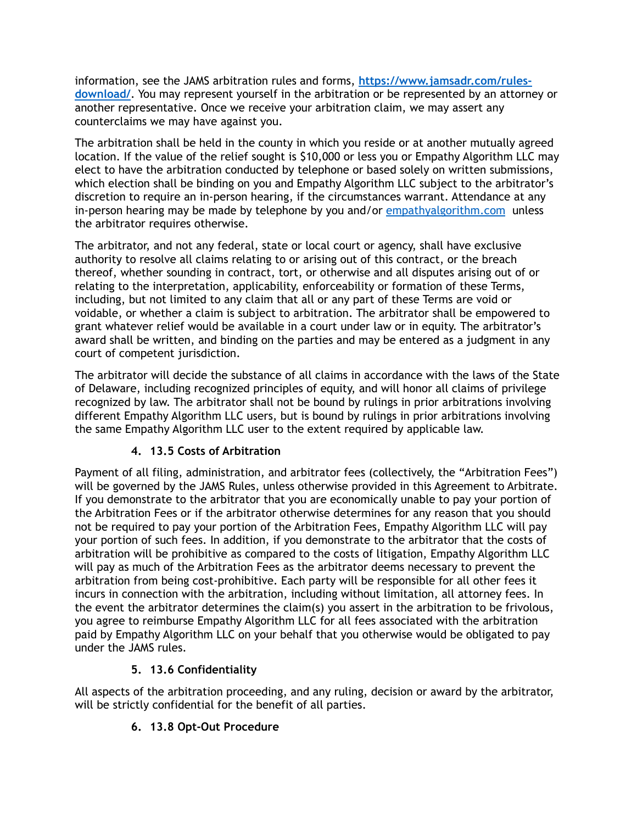information, see the JAMS arbitration rules and forms, **[https://www.jamsadr.com/rules](https://www.jamsadr.com/rules-download/)[download/](https://www.jamsadr.com/rules-download/)**. You may represent yourself in the arbitration or be represented by an attorney or another representative. Once we receive your arbitration claim, we may assert any counterclaims we may have against you.

The arbitration shall be held in the county in which you reside or at another mutually agreed location. If the value of the relief sought is \$10,000 or less you or Empathy Algorithm LLC may elect to have the arbitration conducted by telephone or based solely on written submissions, which election shall be binding on you and Empathy Algorithm LLC subject to the arbitrator's discretion to require an in-person hearing, if the circumstances warrant. Attendance at any in-person hearing may be made by telephone by you and/or [empathyalgorithm.com](http://empathyalgorithm.com) unless the arbitrator requires otherwise.

The arbitrator, and not any federal, state or local court or agency, shall have exclusive authority to resolve all claims relating to or arising out of this contract, or the breach thereof, whether sounding in contract, tort, or otherwise and all disputes arising out of or relating to the interpretation, applicability, enforceability or formation of these Terms, including, but not limited to any claim that all or any part of these Terms are void or voidable, or whether a claim is subject to arbitration. The arbitrator shall be empowered to grant whatever relief would be available in a court under law or in equity. The arbitrator's award shall be written, and binding on the parties and may be entered as a judgment in any court of competent jurisdiction.

The arbitrator will decide the substance of all claims in accordance with the laws of the State of Delaware, including recognized principles of equity, and will honor all claims of privilege recognized by law. The arbitrator shall not be bound by rulings in prior arbitrations involving different Empathy Algorithm LLC users, but is bound by rulings in prior arbitrations involving the same Empathy Algorithm LLC user to the extent required by applicable law.

# **4. 13.5 Costs of Arbitration**

Payment of all filing, administration, and arbitrator fees (collectively, the "Arbitration Fees") will be governed by the JAMS Rules, unless otherwise provided in this Agreement to Arbitrate. If you demonstrate to the arbitrator that you are economically unable to pay your portion of the Arbitration Fees or if the arbitrator otherwise determines for any reason that you should not be required to pay your portion of the Arbitration Fees, Empathy Algorithm LLC will pay your portion of such fees. In addition, if you demonstrate to the arbitrator that the costs of arbitration will be prohibitive as compared to the costs of litigation, Empathy Algorithm LLC will pay as much of the Arbitration Fees as the arbitrator deems necessary to prevent the arbitration from being cost-prohibitive. Each party will be responsible for all other fees it incurs in connection with the arbitration, including without limitation, all attorney fees. In the event the arbitrator determines the claim(s) you assert in the arbitration to be frivolous, you agree to reimburse Empathy Algorithm LLC for all fees associated with the arbitration paid by Empathy Algorithm LLC on your behalf that you otherwise would be obligated to pay under the JAMS rules.

# **5. 13.6 Confidentiality**

All aspects of the arbitration proceeding, and any ruling, decision or award by the arbitrator, will be strictly confidential for the benefit of all parties.

# **6. 13.8 Opt-Out Procedure**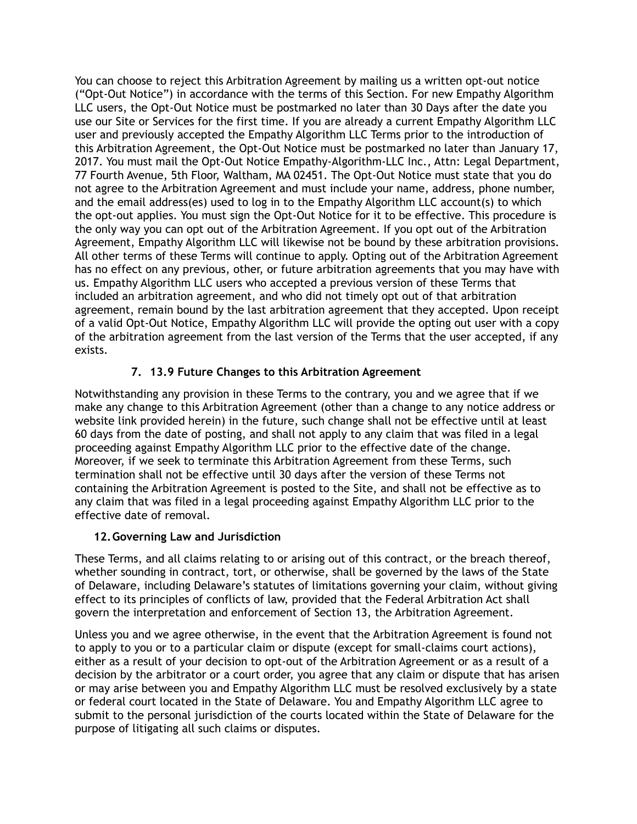You can choose to reject this Arbitration Agreement by mailing us a written opt-out notice ("Opt-Out Notice") in accordance with the terms of this Section. For new Empathy Algorithm LLC users, the Opt-Out Notice must be postmarked no later than 30 Days after the date you use our Site or Services for the first time. If you are already a current Empathy Algorithm LLC user and previously accepted the Empathy Algorithm LLC Terms prior to the introduction of this Arbitration Agreement, the Opt-Out Notice must be postmarked no later than January 17, 2017. You must mail the Opt-Out Notice Empathy-Algorithm-LLC Inc., Attn: Legal Department, 77 Fourth Avenue, 5th Floor, Waltham, MA 02451. The Opt-Out Notice must state that you do not agree to the Arbitration Agreement and must include your name, address, phone number, and the email address(es) used to log in to the Empathy Algorithm LLC account(s) to which the opt-out applies. You must sign the Opt-Out Notice for it to be effective. This procedure is the only way you can opt out of the Arbitration Agreement. If you opt out of the Arbitration Agreement, Empathy Algorithm LLC will likewise not be bound by these arbitration provisions. All other terms of these Terms will continue to apply. Opting out of the Arbitration Agreement has no effect on any previous, other, or future arbitration agreements that you may have with us. Empathy Algorithm LLC users who accepted a previous version of these Terms that included an arbitration agreement, and who did not timely opt out of that arbitration agreement, remain bound by the last arbitration agreement that they accepted. Upon receipt of a valid Opt-Out Notice, Empathy Algorithm LLC will provide the opting out user with a copy of the arbitration agreement from the last version of the Terms that the user accepted, if any exists.

## **7. 13.9 Future Changes to this Arbitration Agreement**

Notwithstanding any provision in these Terms to the contrary, you and we agree that if we make any change to this Arbitration Agreement (other than a change to any notice address or website link provided herein) in the future, such change shall not be effective until at least 60 days from the date of posting, and shall not apply to any claim that was filed in a legal proceeding against Empathy Algorithm LLC prior to the effective date of the change. Moreover, if we seek to terminate this Arbitration Agreement from these Terms, such termination shall not be effective until 30 days after the version of these Terms not containing the Arbitration Agreement is posted to the Site, and shall not be effective as to any claim that was filed in a legal proceeding against Empathy Algorithm LLC prior to the effective date of removal.

### **12.Governing Law and Jurisdiction**

These Terms, and all claims relating to or arising out of this contract, or the breach thereof, whether sounding in contract, tort, or otherwise, shall be governed by the laws of the State of Delaware, including Delaware's statutes of limitations governing your claim, without giving effect to its principles of conflicts of law, provided that the Federal Arbitration Act shall govern the interpretation and enforcement of Section 13, the Arbitration Agreement.

Unless you and we agree otherwise, in the event that the Arbitration Agreement is found not to apply to you or to a particular claim or dispute (except for small-claims court actions), either as a result of your decision to opt-out of the Arbitration Agreement or as a result of a decision by the arbitrator or a court order, you agree that any claim or dispute that has arisen or may arise between you and Empathy Algorithm LLC must be resolved exclusively by a state or federal court located in the State of Delaware. You and Empathy Algorithm LLC agree to submit to the personal jurisdiction of the courts located within the State of Delaware for the purpose of litigating all such claims or disputes.